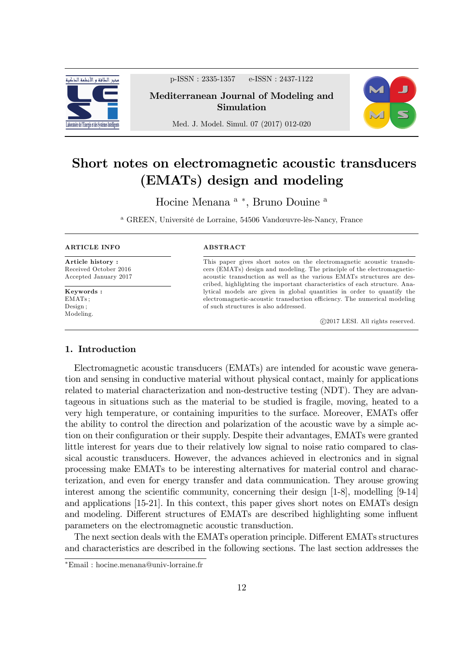

p-ISSN : 2335-1357 e-ISSN : 2437-1122

Mediterranean Journal of Modeling and Simulation

Med. J. Model. Simul. 07 (2017) 012-020



# Short notes on electromagnetic acoustic transducers (EMATs) design and modeling

Hocine Menana<sup>a</sup><sup>\*</sup>, Bruno Douine<sup>a</sup>

<sup>a</sup> GREEN, Université de Lorraine, 54506 Vandœuvre-lès-Nancy, France

#### ARTICLE INFO

Article history : Received October 2016 Accepted January 2017

Keywords : EMATs ; Design ; Modeling.

#### ABSTRACT

This paper gives short notes on the electromagnetic acoustic transducers (EMATs) design and modeling. The principle of the electromagneticacoustic transduction as well as the various EMATs structures are described, highlighting the important characteristics of each structure. Analytical models are given in global quantities in order to quantify the electromagnetic-acoustic transduction efficiency. The numerical modeling of such structures is also addressed.

c 2017 LESI. All rights reserved.

## 1. Introduction

Electromagnetic acoustic transducers (EMATs) are intended for acoustic wave generation and sensing in conductive material without physical contact, mainly for applications related to material characterization and non-destructive testing (NDT). They are advantageous in situations such as the material to be studied is fragile, moving, heated to a very high temperature, or containing impurities to the surface. Moreover, EMATs offer the ability to control the direction and polarization of the acoustic wave by a simple action on their configuration or their supply. Despite their advantages, EMATs were granted little interest for years due to their relatively low signal to noise ratio compared to classical acoustic transducers. However, the advances achieved in electronics and in signal processing make EMATs to be interesting alternatives for material control and characterization, and even for energy transfer and data communication. They arouse growing interest among the scientific community, concerning their design  $[1-8]$ , modelling  $[9-14]$ and applications [15-21]. In this context, this paper gives short notes on EMATs design and modeling. Different structures of EMATs are described highlighting some influent parameters on the electromagnetic acoustic transduction.

The next section deals with the EMATs operation principle. Different EMATs structures and characteristics are described in the following sections. The last section addresses the

Email : hocine.menana@univ-lorraine.fr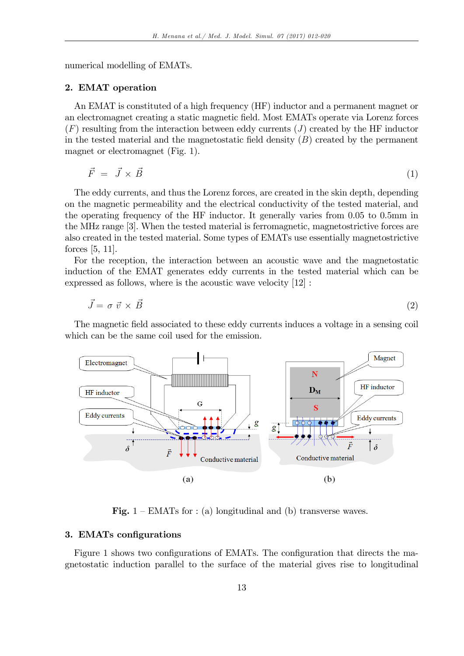numerical modelling of EMATs.

## 2. EMAT operation

An EMAT is constituted of a high frequency (HF) inductor and a permanent magnet or an electromagnet creating a static magnetic Öeld. Most EMATs operate via Lorenz forces  $(F)$  resulting from the interaction between eddy currents  $(J)$  created by the HF inductor in the tested material and the magnetostatic field density  $(B)$  created by the permanent magnet or electromagnet (Fig. 1).

$$
\vec{F} = \vec{J} \times \vec{B} \tag{1}
$$

The eddy currents, and thus the Lorenz forces, are created in the skin depth, depending on the magnetic permeability and the electrical conductivity of the tested material, and the operating frequency of the HF inductor. It generally varies from 0.05 to 0.5mm in the MHz range [3]. When the tested material is ferromagnetic, magnetostrictive forces are also created in the tested material. Some types of EMATs use essentially magnetostrictive forces [5, 11].

For the reception, the interaction between an acoustic wave and the magnetostatic induction of the EMAT generates eddy currents in the tested material which can be expressed as follows, where is the acoustic wave velocity [12] :

$$
\vec{J} = \sigma \ \vec{v} \times \vec{B} \tag{2}
$$

The magnetic field associated to these eddy currents induces a voltage in a sensing coil which can be the same coil used for the emission.



Fig.  $1 - EMATs$  for : (a) longitudinal and (b) transverse waves.

# 3. EMATs configurations

Figure 1 shows two configurations of EMATs. The configuration that directs the magnetostatic induction parallel to the surface of the material gives rise to longitudinal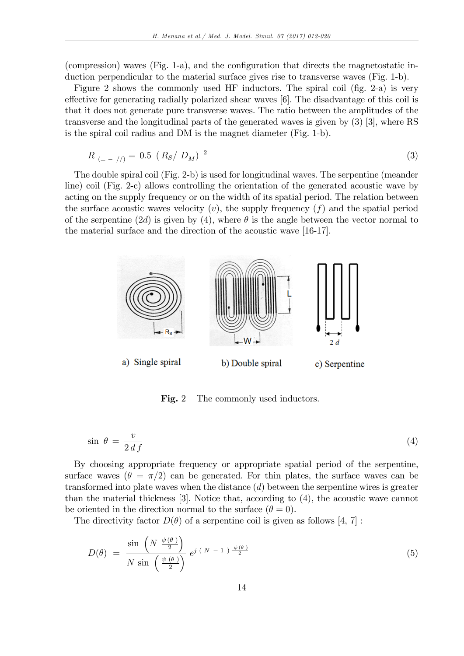(compression) waves (Fig. 1-a), and the configuration that directs the magnetostatic induction perpendicular to the material surface gives rise to transverse waves (Fig. 1-b).

Figure 2 shows the commonly used HF inductors. The spiral coil (fig.  $2-a$ ) is very effective for generating radially polarized shear waves [6]. The disadvantage of this coil is that it does not generate pure transverse waves. The ratio between the amplitudes of the transverse and the longitudinal parts of the generated waves is given by (3) [3], where RS is the spiral coil radius and DM is the magnet diameter (Fig. 1-b).

$$
R_{(\perp - / /)} = 0.5 \left( R_S / D_M \right)^2 \tag{3}
$$

The double spiral coil (Fig. 2-b) is used for longitudinal waves. The serpentine (meander line) coil (Fig. 2-c) allows controlling the orientation of the generated acoustic wave by acting on the supply frequency or on the width of its spatial period. The relation between the surface acoustic waves velocity  $(v)$ , the supply frequency  $(f)$  and the spatial period of the serpentine (2d) is given by (4), where  $\theta$  is the angle between the vector normal to the material surface and the direction of the acoustic wave [16-17].



Fig.  $2$  – The commonly used inductors.

$$
\sin \theta = \frac{v}{2 \, df} \tag{4}
$$

By choosing appropriate frequency or appropriate spatial period of the serpentine, surface waves  $(\theta = \pi/2)$  can be generated. For thin plates, the surface waves can be transformed into plate waves when the distance  $(d)$  between the serpentine wires is greater than the material thickness [3]. Notice that, according to (4), the acoustic wave cannot be oriented in the direction normal to the surface  $(\theta = 0)$ .

The directivity factor  $D(\theta)$  of a serpentine coil is given as follows [4, 7]:

$$
D(\theta) = \frac{\sin\left(N \frac{\psi(\theta)}{2}\right)}{N \sin\left(\frac{\psi(\theta)}{2}\right)} e^{j(N-1)\frac{\psi(\theta)}{2}}
$$
(5)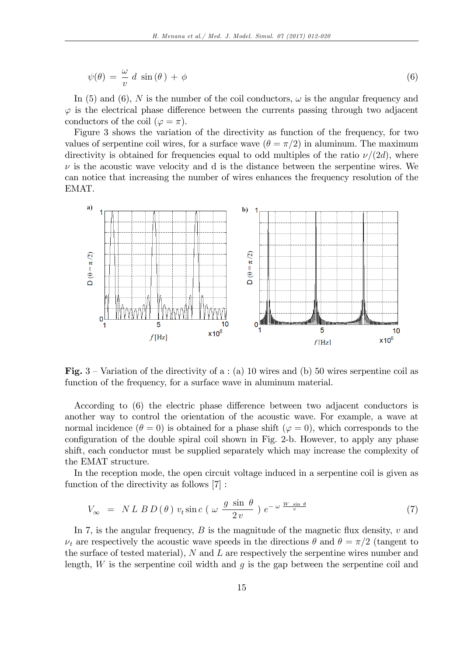$$
\psi(\theta) = \frac{\omega}{v} d \sin(\theta) + \phi \tag{6}
$$

In (5) and (6), N is the number of the coil conductors,  $\omega$  is the angular frequency and  $\varphi$  is the electrical phase difference between the currents passing through two adjacent conductors of the coil ( $\varphi = \pi$ ).

Figure 3 shows the variation of the directivity as function of the frequency, for two values of serpentine coil wires, for a surface wave  $(\theta = \pi/2)$  in aluminum. The maximum directivity is obtained for frequencies equal to odd multiples of the ratio  $\nu/(2d)$ , where  $\nu$  is the acoustic wave velocity and d is the distance between the serpentine wires. We can notice that increasing the number of wires enhances the frequency resolution of the EMAT.



Fig.  $3$  – Variation of the directivity of a : (a) 10 wires and (b) 50 wires serpentine coil as function of the frequency, for a surface wave in aluminum material.

According to  $(6)$  the electric phase difference between two adjacent conductors is another way to control the orientation of the acoustic wave. For example, a wave at normal incidence  $(\theta = 0)$  is obtained for a phase shift  $(\varphi = 0)$ , which corresponds to the configuration of the double spiral coil shown in Fig. 2-b. However, to apply any phase shift, each conductor must be supplied separately which may increase the complexity of the EMAT structure.

In the reception mode, the open circuit voltage induced in a serpentine coil is given as function of the directivity as follows [7] :

$$
V_{\infty} = NL \, BD \, (\theta) \, v_t \sin c \, (\omega \, \frac{g \, \sin \, \theta}{2 \, v} \, ) \, e^{-\omega \, \frac{W \, \sin \, \theta}{v}} \tag{7}
$$

In 7, is the angular frequency,  $B$  is the magnitude of the magnetic flux density,  $v$  and  $\nu_t$  are respectively the acoustic wave speeds in the directions  $\theta$  and  $\theta = \pi/2$  (tangent to the surface of tested material),  $N$  and  $L$  are respectively the serpentine wires number and length,  $W$  is the serpentine coil width and  $g$  is the gap between the serpentine coil and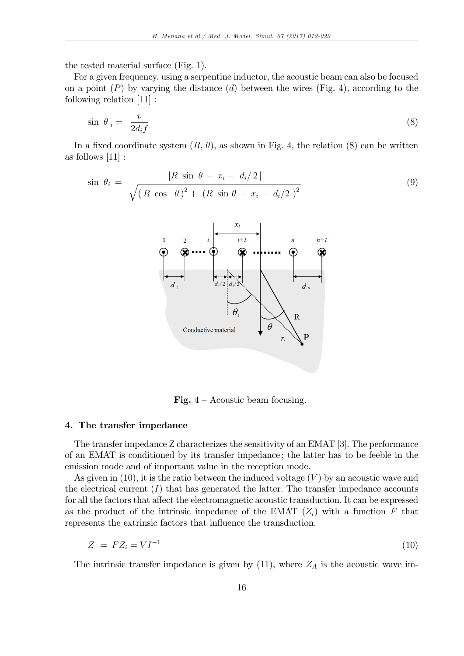the tested material surface (Fig. 1).

For a given frequency, using a serpentine inductor, the acoustic beam can also be focused on a point  $(P)$  by varying the distance  $(d)$  between the wires (Fig. 4), according to the following relation [11] :

$$
\sin \theta_i = \frac{v}{2d_i f} \tag{8}
$$

In a fixed coordinate system  $(R, \theta)$ , as shown in Fig. 4, the relation (8) can be written as follows [11] :

$$
\sin \theta_{i} = \frac{|R \sin \theta - x_{i} - d_{i}/2|}{\sqrt{(R \cos \theta)^{2} + (R \sin \theta - x_{i} - d_{i}/2)^{2}}}
$$
\n(9)



Fig.  $4 -$  Acoustic beam focusing.

#### 4. The transfer impedance

The transfer impedance Z characterizes the sensitivity of an EMAT [3]. The performance of an EMAT is conditioned by its transfer impedance ; the latter has to be feeble in the emission mode and of important value in the reception mode.

As given in  $(10)$ , it is the ratio between the induced voltage  $(V)$  by an acoustic wave and the electrical current  $(I)$  that has generated the latter. The transfer impedance accounts for all the factors that affect the electromagnetic acoustic transduction. It can be expressed as the product of the intrinsic impedance of the EMAT  $(Z_i)$  with a function F that represents the extrinsic factors that influence the transduction.

$$
Z = FZ_i = VI^{-1} \tag{10}
$$

The intrinsic transfer impedance is given by  $(11)$ , where  $Z_A$  is the acoustic wave im-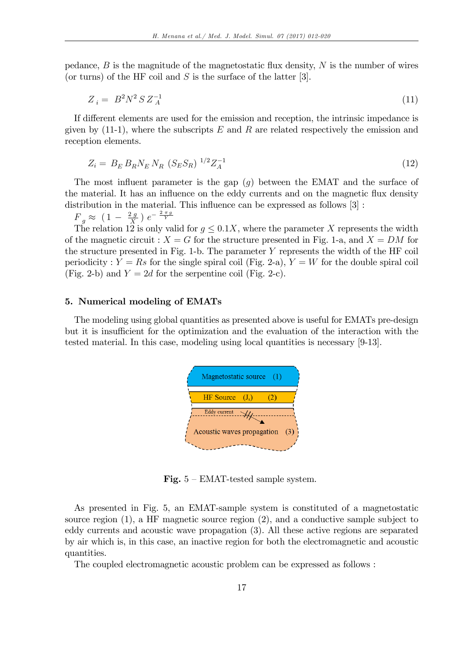pedance,  $B$  is the magnitude of the magnetostatic flux density,  $N$  is the number of wires (or turns) of the HF coil and  $S$  is the surface of the latter [3].

$$
Z_i = B^2 N^2 S Z_A^{-1}
$$
\n(11)

If different elements are used for the emission and reception, the intrinsic impedance is given by  $(11-1)$ , where the subscripts E and R are related respectively the emission and reception elements.

$$
Z_i = B_E B_R N_E N_R (S_E S_R)^{1/2} Z_A^{-1}
$$
\n(12)

The most influent parameter is the gap  $(g)$  between the EMAT and the surface of the material. It has an influence on the eddy currents and on the magnetic flux density distribution in the material. This influence can be expressed as follows  $[3]$ :

 $F_g \approx (1 - \frac{2g}{X})$  $\frac{2g}{X}$ )  $e^{-\frac{2\pi g}{Y}}$ 

The relation 12 is only valid for  $q \leq 0.1X$ , where the parameter X represents the width of the magnetic circuit :  $X = G$  for the structure presented in Fig. 1-a, and  $X = DM$  for the structure presented in Fig. 1-b. The parameter Y represents the width of the HF coil periodicity :  $Y = Rs$  for the single spiral coil (Fig. 2-a),  $Y = W$  for the double spiral coil (Fig. 2-b) and  $Y = 2d$  for the serpentine coil (Fig. 2-c).

## 5. Numerical modeling of EMATs

The modeling using global quantities as presented above is useful for EMATs pre-design but it is insufficient for the optimization and the evaluation of the interaction with the tested material. In this case, modeling using local quantities is necessary [9-13].



Fig.  $5 - EMAT$ -tested sample system.

As presented in Fig. 5, an EMAT-sample system is constituted of a magnetostatic source region (1), a HF magnetic source region (2), and a conductive sample subject to eddy currents and acoustic wave propagation (3). All these active regions are separated by air which is, in this case, an inactive region for both the electromagnetic and acoustic quantities.

The coupled electromagnetic acoustic problem can be expressed as follows :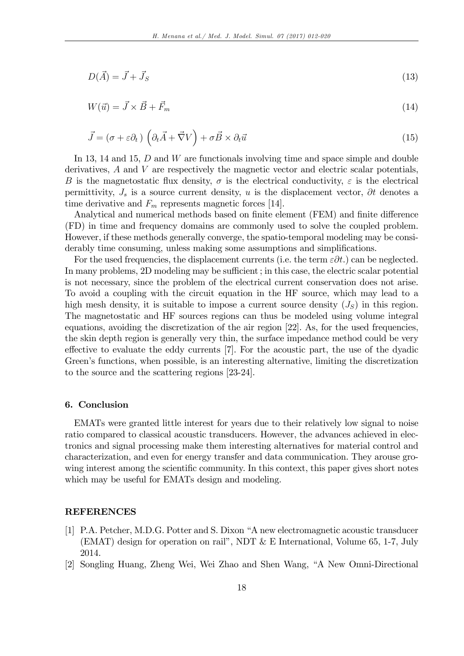$$
D(\vec{A}) = \vec{J} + \vec{J}_S \tag{13}
$$

$$
W(\vec{u}) = \vec{J} \times \vec{B} + \vec{F}_m
$$
\n<sup>(14)</sup>

$$
\vec{J} = (\sigma + \varepsilon \partial_t) \left( \partial_t \vec{A} + \vec{\nabla} V \right) + \sigma \vec{B} \times \partial_t \vec{u}
$$
\n(15)

In 13, 14 and 15, D and W are functionals involving time and space simple and double derivatives, A and V are respectively the magnetic vector and electric scalar potentials, B is the magnetostatic flux density,  $\sigma$  is the electrical conductivity,  $\varepsilon$  is the electrical permittivity,  $J_s$  is a source current density, u is the displacement vector,  $\partial t$  denotes a time derivative and  $F_m$  represents magnetic forces [14].

Analytical and numerical methods based on finite element (FEM) and finite difference (FD) in time and frequency domains are commonly used to solve the coupled problem. However, if these methods generally converge, the spatio-temporal modeling may be considerably time consuming, unless making some assumptions and simplifications.

For the used frequencies, the displacement currents (i.e. the term  $\epsilon \partial t$ .) can be neglected. In many problems, 2D modeling may be sufficient; in this case, the electric scalar potential is not necessary, since the problem of the electrical current conservation does not arise. To avoid a coupling with the circuit equation in the HF source, which may lead to a high mesh density, it is suitable to impose a current source density  $(J<sub>S</sub>)$  in this region. The magnetostatic and HF sources regions can thus be modeled using volume integral equations, avoiding the discretization of the air region [22]. As, for the used frequencies, the skin depth region is generally very thin, the surface impedance method could be very effective to evaluate the eddy currents [7]. For the acoustic part, the use of the dyadic Green's functions, when possible, is an interesting alternative, limiting the discretization to the source and the scattering regions [23-24].

# 6. Conclusion

EMATs were granted little interest for years due to their relatively low signal to noise ratio compared to classical acoustic transducers. However, the advances achieved in electronics and signal processing make them interesting alternatives for material control and characterization, and even for energy transfer and data communication. They arouse growing interest among the scientific community. In this context, this paper gives short notes which may be useful for EMATs design and modeling.

# REFERENCES

- [1] P.A. Petcher, M.D.G. Potter and S. Dixon "A new electromagnetic acoustic transducer (EMAT) design for operation on rail", NDT  $\&$  E International, Volume 65, 1-7, July 2014.
- [2] Songling Huang, Zheng Wei, Wei Zhao and Shen Wang, "A New Omni-Directional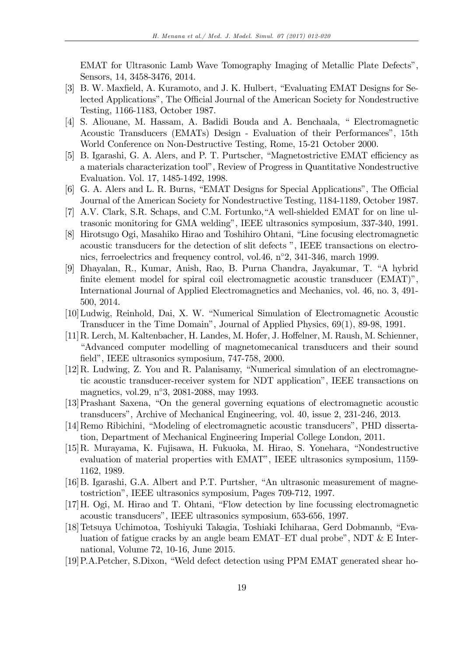EMAT for Ultrasonic Lamb Wave Tomography Imaging of Metallic Plate Defects<sup>"</sup>, Sensors, 14, 3458-3476, 2014.

- [3] B. W. Maxfield, A. Kuramoto, and J. K. Hulbert, "Evaluating EMAT Designs for Selected Applications", The Official Journal of the American Society for Nondestructive Testing, 1166-1183, October 1987.
- [4] S. Aliouane, M. Hassam, A. Badidi Bouda and A. Benchaala, "Electromagnetic Acoustic Transducers (EMATs) Design - Evaluation of their Performances", 15th World Conference on Non-Destructive Testing, Rome, 15-21 October 2000.
- [5] B. Igarashi, G. A. Alers, and P. T. Purtscher, "Magnetostrictive EMAT efficiency as a materials characterization toolî, Review of Progress in Quantitative Nondestructive Evaluation. Vol. 17, 1485-1492, 1998.
- [6] G. A. Alers and L. R. Burns, "EMAT Designs for Special Applications", The Official Journal of the American Society for Nondestructive Testing, 1184-1189, October 1987.
- [7] A.V. Clark, S.R. Schaps, and C.M. Fortunko, "A well-shielded EMAT for on line ultrasonic monitoring for GMA welding", IEEE ultrasonics symposium, 337-340, 1991.
- [8] Hirotsugo Ogi, Masahiko Hirao and Toshihiro Ohtani, "Line focusing electromagnetic acoustic transducers for the detection of slit defects  $\degree$ , IEEE transactions on electronics, ferroelectrics and frequency control, vol.46,  $n^{\circ}2$ , 341-346, march 1999.
- [9] Dhayalan, R., Kumar, Anish, Rao, B. Purna Chandra, Jayakumar, T. "A hybrid finite element model for spiral coil electromagnetic acoustic transducer  $(EMAT)$ . International Journal of Applied Electromagnetics and Mechanics, vol. 46, no. 3, 491- 500, 2014.
- [10] Ludwig, Reinhold, Dai, X. W. "Numerical Simulation of Electromagnetic Acoustic Transducer in the Time Domainî, Journal of Applied Physics, 69(1), 89-98, 1991.
- [11] R. Lerch, M. Kaltenbacher, H. Landes, M. Hofer, J. Hoffelner, M. Raush, M. Schienner, ìAdvanced computer modelling of magnetomecanical transducers and their sound field", IEEE ultrasonics symposium, 747-758, 2000.
- $[12]R$ . Ludwing, Z. You and R. Palanisamy, "Numerical simulation of an electromagnetic acoustic transducer-receiver system for NDT applicationî, IEEE transactions on magnetics, vol.29, n°3, 2081-2088, may 1993.
- [13] Prashant Saxena, "On the general governing equations of electromagnetic acoustic transducersî, Archive of Mechanical Engineering, vol. 40, issue 2, 231-246, 2013.
- [14] Remo Ribichini, "Modeling of electromagnetic acoustic transducers", PHD dissertation, Department of Mechanical Engineering Imperial College London, 2011.
- $[15]R$ . Murayama, K. Fujisawa, H. Fukuoka, M. Hirao, S. Yonehara, "Nondestructive evaluation of material properties with EMAT", IEEE ultrasonics symposium, 1159-1162, 1989.
- [16] B. Igarashi, G.A. Albert and P.T. Purtsher, "An ultrasonic measurement of magnetostrictionî, IEEE ultrasonics symposium, Pages 709-712, 1997.
- $[17]$ H. Ogi, M. Hirao and T. Ohtani, "Flow detection by line focussing electromagnetic acoustic transducersî, IEEE ultrasonics symposium, 653-656, 1997.
- [18] Tetsuya Uchimotoa, Toshiyuki Takagia, Toshiaki Ichiharaa, Gerd Dobmannb, "Evaluation of fatigue cracks by an angle beam EMAT–ET dual probe", NDT  $&\&$  E International, Volume 72, 10-16, June 2015.
- [19] P.A.Petcher, S.Dixon, "Weld defect detection using PPM EMAT generated shear ho-